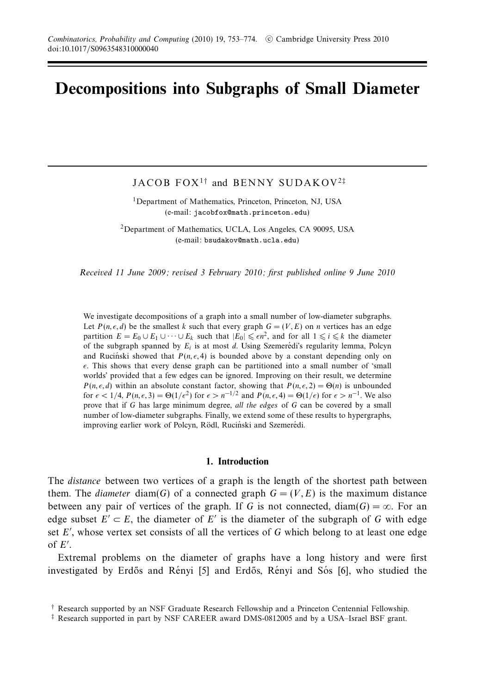# **Decompositions into Subgraphs of Small Diameter**

JACOB  $FOX^{1\dagger}$  and BENNY SUDAKOV<sup>2‡</sup>

<sup>1</sup>Department of Mathematics, Princeton, Princeton, NJ, USA (e-mail: jacobfox@math.princeton.edu)

2Department of Mathematics, UCLA, Los Angeles, CA 90095, USA (e-mail: bsudakov@math.ucla.edu)

Received 11 June 2009; revised 3 February 2010; first published online 9 June 2010

We investigate decompositions of a graph into a small number of low-diameter subgraphs. Let  $P(n, \epsilon, d)$  be the smallest *k* such that every graph  $G = (V, E)$  on *n* vertices has an edge partition  $E = E_0 \cup E_1 \cup \cdots \cup E_k$  such that  $|E_0| \leq \epsilon n^2$ , and for all  $1 \leq i \leq k$  the diameter of the subgraph spanned by  $E_i$  is at most  $d$ . Using Szemeredi's regularity lemma, Polcyn and Rucinski showed that  $P(n, \epsilon, 4)$  is bounded above by a constant depending only on *-*. This shows that every dense graph can be partitioned into a small number of 'small worlds' provided that a few edges can be ignored. Improving on their result, we determine *P*(*n,*  $\epsilon$ *, <i>d*) within an absolute constant factor, showing that *P*(*n,*  $\epsilon$ , 2) =  $\Theta$ (*n*) is unbounded for  $\epsilon < 1/4$ ,  $P(n, \epsilon, 3) = \Theta(1/\epsilon^2)$  for  $\epsilon > n^{-1/2}$  and  $P(n, \epsilon, 4) = \Theta(1/\epsilon)$  for  $\epsilon > n^{-1}$ . We also prove that if *G* has large minimum degree, all the edges of *G* can be covered by a small number of low-diameter subgraphs. Finally, we extend some of these results to hypergraphs, improving earlier work of Polcyn, Rödl, Ruciński and Szemerédi.

#### **1. Introduction**

The *distance* between two vertices of a graph is the length of the shortest path between them. The *diameter* diam(*G*) of a connected graph  $G = (V, E)$  is the maximum distance between any pair of vertices of the graph. If *G* is not connected, diam( $G$ ) =  $\infty$ . For an edge subset  $E' \subset E$ , the diameter of  $E'$  is the diameter of the subgraph of *G* with edge set *E* , whose vertex set consists of all the vertices of *G* which belong to at least one edge of *E* .

Extremal problems on the diameter of graphs have a long history and were first investigated by Erdős and Rényi [5] and Erdős, Rényi and Sós [6], who studied the

<sup>†</sup> Research supported by an NSF Graduate Research Fellowship and a Princeton Centennial Fellowship.

<sup>‡</sup> Research supported in part by NSF CAREER award DMS-0812005 and by a USA–Israel BSF grant.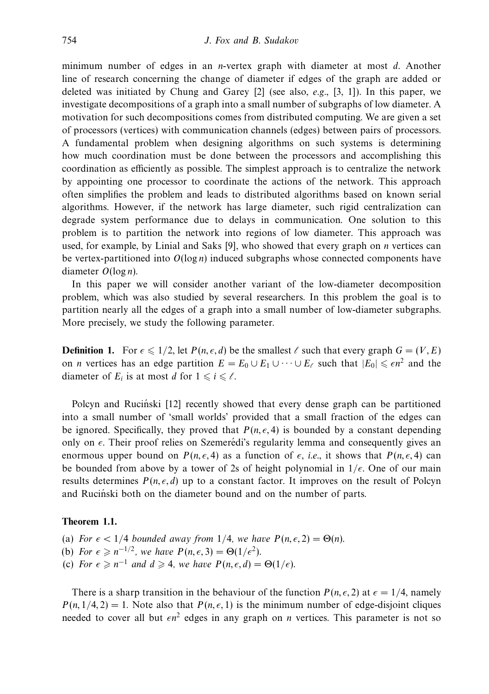minimum number of edges in an *n*-vertex graph with diameter at most *d*. Another line of research concerning the change of diameter if edges of the graph are added or deleted was initiated by Chung and Garey  $[2]$  (see also, *e.g.*,  $[3, 1]$ ). In this paper, we investigate decompositions of a graph into a small number of subgraphs of low diameter. A motivation for such decompositions comes from distributed computing. We are given a set of processors (vertices) with communication channels (edges) between pairs of processors. A fundamental problem when designing algorithms on such systems is determining how much coordination must be done between the processors and accomplishing this coordination as efficiently as possible. The simplest approach is to centralize the network by appointing one processor to coordinate the actions of the network. This approach often simplifies the problem and leads to distributed algorithms based on known serial algorithms. However, if the network has large diameter, such rigid centralization can degrade system performance due to delays in communication. One solution to this problem is to partition the network into regions of low diameter. This approach was used, for example, by Linial and Saks [9], who showed that every graph on *n* vertices can be vertex-partitioned into *O*(log *n*) induced subgraphs whose connected components have diameter *O*(log *n*).

In this paper we will consider another variant of the low-diameter decomposition problem, which was also studied by several researchers. In this problem the goal is to partition nearly all the edges of a graph into a small number of low-diameter subgraphs. More precisely, we study the following parameter.

**Definition 1.** For  $\epsilon \leq 1/2$ , let  $P(n, \epsilon, d)$  be the smallest  $\ell$  such that every graph  $G = (V, E)$ on *n* vertices has an edge partition  $E = E_0 \cup E_1 \cup \cdots \cup E_\ell$  such that  $|E_0| \leq \epsilon n^2$  and the diameter of  $E_i$  is at most *d* for  $1 \leq i \leq \ell$ .

Polcyn and Rucinski [12] recently showed that every dense graph can be partitioned into a small number of 'small worlds' provided that a small fraction of the edges can be ignored. Specifically, they proved that  $P(n, \epsilon, 4)$  is bounded by a constant depending only on  $\epsilon$ . Their proof relies on Szemerédi's regularity lemma and consequently gives an enormous upper bound on  $P(n, \epsilon, 4)$  as a function of  $\epsilon$ , *i.e.*, it shows that  $P(n, \epsilon, 4)$  can be bounded from above by a tower of 2s of height polynomial in  $1/\epsilon$ . One of our main results determines  $P(n, \epsilon, d)$  up to a constant factor. It improves on the result of Polcyn and Rucinski both on the diameter bound and on the number of parts.

#### **Theorem 1.1.**

- (a) For  $\epsilon < 1/4$  bounded away from 1/4, we have  $P(n, \epsilon, 2) = \Theta(n)$ .
- (b) For  $\epsilon \geq n^{-1/2}$ , we have  $P(n, \epsilon, 3) = \Theta(1/\epsilon^2)$ .
- (c) For  $\epsilon \ge n^{-1}$  and  $d \ge 4$ , we have  $P(n, \epsilon, d) = \Theta(1/\epsilon)$ .

There is a sharp transition in the behaviour of the function  $P(n, \epsilon, 2)$  at  $\epsilon = 1/4$ , namely  $P(n, 1/4, 2) = 1$ . Note also that  $P(n, \epsilon, 1)$  is the minimum number of edge-disjoint cliques needed to cover all but  $\epsilon n^2$  edges in any graph on *n* vertices. This parameter is not so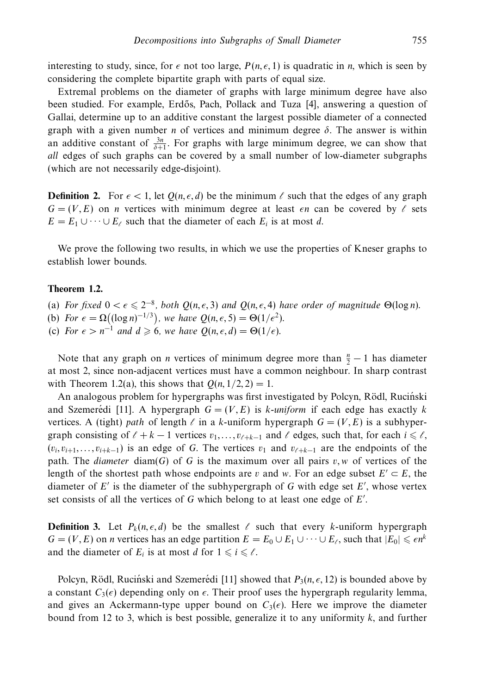interesting to study, since, for  $\epsilon$  not too large,  $P(n, \epsilon, 1)$  is quadratic in *n*, which is seen by considering the complete bipartite graph with parts of equal size.

Extremal problems on the diameter of graphs with large minimum degree have also been studied. For example, Erdős, Pach, Pollack and Tuza [4], answering a question of Gallai, determine up to an additive constant the largest possible diameter of a connected graph with a given number *n* of vertices and minimum degree *δ*. The answer is within an additive constant of  $\frac{3n}{\delta+1}$ . For graphs with large minimum degree, we can show that all edges of such graphs can be covered by a small number of low-diameter subgraphs (which are not necessarily edge-disjoint).

**Definition 2.** For  $\epsilon < 1$ , let  $Q(n, \epsilon, d)$  be the minimum  $\ell$  such that the edges of any graph  $G = (V, E)$  on *n* vertices with minimum degree at least  $\epsilon n$  can be covered by  $\ell$  sets  $E = E_1 \cup \cdots \cup E_\ell$  such that the diameter of each  $E_i$  is at most *d*.

We prove the following two results, in which we use the properties of Kneser graphs to establish lower bounds.

#### **Theorem 1.2.**

(a) For fixed  $0 < \epsilon \leq 2^{-8}$ , both  $Q(n, \epsilon, 3)$  and  $Q(n, \epsilon, 4)$  have order of magnitude  $\Theta(\log n)$ .

- (b) For  $\epsilon = \Omega((\log n)^{-1/3})$ , we have  $Q(n, \epsilon, 5) = \Theta(1/\epsilon^2)$ .
- (c) For  $\epsilon > n^{-1}$  and  $d \ge 6$ , we have  $Q(n, \epsilon, d) = \Theta(1/\epsilon)$ .

Note that any graph on *n* vertices of minimum degree more than  $\frac{n}{2} - 1$  has diameter at most 2, since non-adjacent vertices must have a common neighbour. In sharp contrast with Theorem 1.2(a), this shows that  $Q(n, 1/2, 2) = 1$ .

An analogous problem for hypergraphs was first investigated by Polcyn, Rödl, Ruciński and Szemerédi [11]. A hypergraph  $G = (V, E)$  is *k*-uniform if each edge has exactly *k* vertices. A (tight) path of length  $\ell$  in a *k*-uniform hypergraph  $G = (V, E)$  is a subhypergraph consisting of  $\ell + k - 1$  vertices  $v_1, \ldots, v_{\ell+k-1}$  and  $\ell$  edges, such that, for each  $i \leq \ell$ ,  $(v_i, v_{i+1}, \ldots, v_{i+k-1})$  is an edge of *G*. The vertices  $v_1$  and  $v_{\ell+k-1}$  are the endpoints of the path. The *diameter* diam(*G*) of *G* is the maximum over all pairs  $v, w$  of vertices of the length of the shortest path whose endpoints are *v* and *w*. For an edge subset  $E' \subset E$ , the diameter of  $E'$  is the diameter of the subhypergraph of  $G$  with edge set  $E'$ , whose vertex set consists of all the vertices of *G* which belong to at least one edge of *E* .

**Definition 3.** Let  $P_k(n, \epsilon, d)$  be the smallest  $\ell$  such that every *k*-uniform hypergraph  $G = (V, E)$  on *n* vertices has an edge partition  $E = E_0 \cup E_1 \cup \cdots \cup E_\ell$ , such that  $|E_0| \leq \epsilon n^k$ and the diameter of  $E_i$  is at most *d* for  $1 \leq i \leq l$ .

Polcyn, Rödl, Ruciński and Szemerédi [11] showed that  $P_3(n, \epsilon, 12)$  is bounded above by a constant  $C_3(\epsilon)$  depending only on  $\epsilon$ . Their proof uses the hypergraph regularity lemma, and gives an Ackermann-type upper bound on  $C_3(\epsilon)$ . Here we improve the diameter bound from 12 to 3, which is best possible, generalize it to any uniformity *k*, and further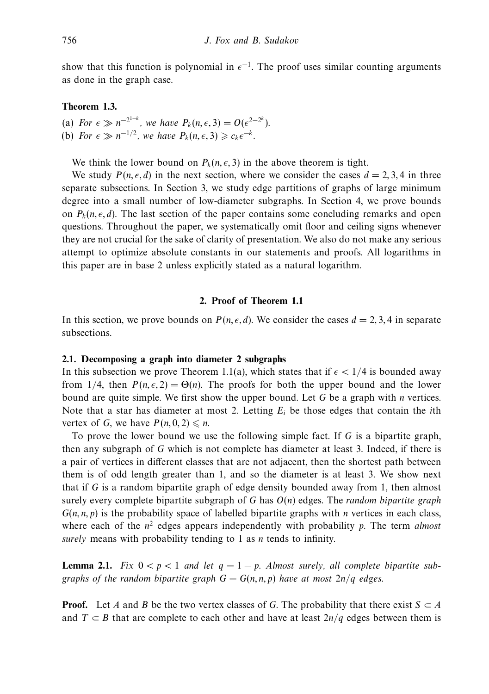show that this function is polynomial in  $\epsilon^{-1}$ . The proof uses similar counting arguments as done in the graph case.

# **Theorem 1.3.**

- (a) For  $\epsilon \gg n^{-2^{1-k}}$ , we have  $P_k(n, \epsilon, 3) = O(\epsilon^{2-2^k})$ .
- (b) For  $\epsilon \gg n^{-1/2}$ , we have  $P_k(n, \epsilon, 3) \geq c_k \epsilon^{-k}$ .

We think the lower bound on  $P_k(n, \epsilon, 3)$  in the above theorem is tight.

We study  $P(n, \epsilon, d)$  in the next section, where we consider the cases  $d = 2, 3, 4$  in three separate subsections. In Section 3, we study edge partitions of graphs of large minimum degree into a small number of low-diameter subgraphs. In Section 4, we prove bounds on  $P_k(n, \epsilon, d)$ . The last section of the paper contains some concluding remarks and open questions. Throughout the paper, we systematically omit floor and ceiling signs whenever they are not crucial for the sake of clarity of presentation. We also do not make any serious attempt to optimize absolute constants in our statements and proofs. All logarithms in this paper are in base 2 unless explicitly stated as a natural logarithm.

#### **2. Proof of Theorem 1.1**

In this section, we prove bounds on  $P(n, \epsilon, d)$ . We consider the cases  $d = 2, 3, 4$  in separate subsections.

#### **2.1. Decomposing a graph into diameter 2 subgraphs**

In this subsection we prove Theorem 1.1(a), which states that if  $\epsilon < 1/4$  is bounded away from  $1/4$ , then  $P(n, \epsilon, 2) = \Theta(n)$ . The proofs for both the upper bound and the lower bound are quite simple. We first show the upper bound. Let *G* be a graph with *n* vertices. Note that a star has diameter at most 2. Letting *Ei* be those edges that contain the *i*th vertex of *G*, we have  $P(n, 0, 2) \le n$ .

To prove the lower bound we use the following simple fact. If *G* is a bipartite graph, then any subgraph of *G* which is not complete has diameter at least 3. Indeed, if there is a pair of vertices in different classes that are not adjacent, then the shortest path between them is of odd length greater than 1, and so the diameter is at least 3. We show next that if *G* is a random bipartite graph of edge density bounded away from 1, then almost surely every complete bipartite subgraph of *G* has *O*(*n*) edges. The random bipartite graph  $G(n, n, p)$  is the probability space of labelled bipartite graphs with *n* vertices in each class, where each of the  $n^2$  edges appears independently with probability  $p$ . The term *almost* surely means with probability tending to 1 as *n* tends to infinity.

**Lemma 2.1.** Fix  $0 < p < 1$  and let  $q = 1 - p$ . Almost surely, all complete bipartite subgraphs of the random bipartite graph  $G = G(n, n, p)$  have at most  $2n/q$  edges.

**Proof.** Let *A* and *B* be the two vertex classes of *G*. The probability that there exist  $S \subset A$ and *T* ⊂ *B* that are complete to each other and have at least  $2n/q$  edges between them is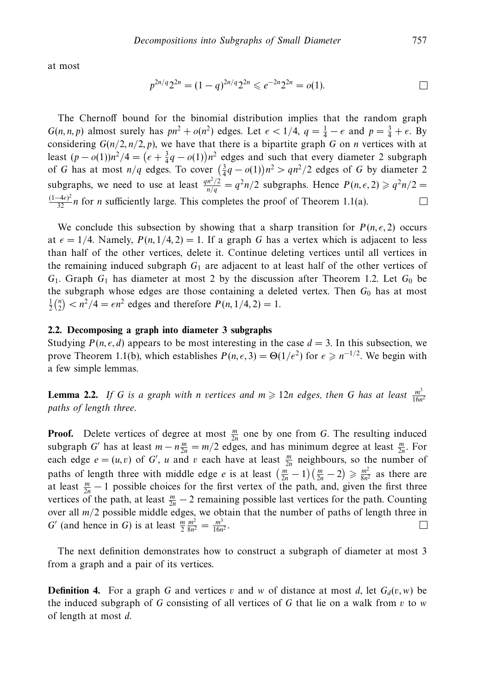at most

$$
p^{2n/q}2^{2n} = (1-q)^{2n/q}2^{2n} \leqslant e^{-2n}2^{2n} = o(1).
$$

The Chernoff bound for the binomial distribution implies that the random graph *G*(*n, n, p*) almost surely has  $pn^2 + o(n^2)$  edges. Let  $\epsilon < 1/4$ ,  $q = \frac{1}{4} - \epsilon$  and  $p = \frac{3}{4} + \epsilon$ . By considering  $G(n/2, n/2, p)$ , we have that there is a bipartite graph *G* on *n* vertices with at least  $(p - o(1))n^2/4 = (e + \frac{3}{4}q - o(1))n^2$  edges and such that every diameter 2 subgraph of *G* has at most  $n/q$  edges. To cover  $(\frac{3}{4}q - o(1))n^2 > qn^2/2$  edges of *G* by diameter 2 subgraphs, we need to use at least  $\frac{qn^2/2}{n/q} = q^2n/2$  subgraphs. Hence  $P(n, \epsilon, 2) \geqslant q^2n/2 =$  $\frac{(1-4\epsilon)^2}{32}$ *n* for *n* sufficiently large. This completes the proof of Theorem 1.1(a).  $\Box$ 

We conclude this subsection by showing that a sharp transition for  $P(n, \epsilon, 2)$  occurs at  $\epsilon = 1/4$ . Namely,  $P(n, 1/4, 2) = 1$ . If a graph G has a vertex which is adjacent to less than half of the other vertices, delete it. Continue deleting vertices until all vertices in the remaining induced subgraph  $G_1$  are adjacent to at least half of the other vertices of  $G_1$ . Graph  $G_1$  has diameter at most 2 by the discussion after Theorem 1.2. Let  $G_0$  be the subgraph whose edges are those containing a deleted vertex. Then *G*<sup>0</sup> has at most  $\frac{1}{2} \binom{n}{2} < n^2/4 = \epsilon n^2$  edges and therefore  $P(n, 1/4, 2) = 1$ .

# **2.2. Decomposing a graph into diameter 3 subgraphs**

Studying  $P(n, \epsilon, d)$  appears to be most interesting in the case  $d = 3$ . In this subsection, we prove Theorem 1.1(b), which establishes  $P(n, \epsilon, 3) = \Theta(1/\epsilon^2)$  for  $\epsilon \geq n^{-1/2}$ . We begin with a few simple lemmas.

**Lemma 2.2.** If *G* is a graph with *n* vertices and  $m \ge 12n$  edges, then *G* has at least  $\frac{m^3}{16n^2}$ paths of length three.

**Proof.** Delete vertices of degree at most  $\frac{m}{2n}$  one by one from *G*. The resulting induced subgraph *G*' has at least  $m - n \frac{m}{2n} = m/2$  edges, and has minimum degree at least  $\frac{m}{2n}$ . For each edge  $e = (u, v)$  of *G*', *u* and *v* each have at least  $\frac{m}{2n}$  neighbours, so the number of paths of length three with middle edge *e* is at least  $\left(\frac{m}{2n} - 1\right) \left(\frac{m}{2n} - 2\right) \geq \frac{m^2}{8n^2}$  as there are at least  $\frac{m}{2n} - 1$  possible choices for the first vertex of the path, and, given the first three vertices of the path, at least  $\frac{m}{2n} - 2$  remaining possible last vertices for the path. Counting over all *m/*2 possible middle edges, we obtain that the number of paths of length three in *G*<sup> $\prime$ </sup> (and hence in *G*) is at least  $\frac{m}{2} \frac{m^2}{8n^2} = \frac{m^3}{16n^2}$ .  $\Box$ 

The next definition demonstrates how to construct a subgraph of diameter at most 3 from a graph and a pair of its vertices.

**Definition 4.** For a graph *G* and vertices *v* and *w* of distance at most *d*, let  $G_d(v, w)$  be the induced subgraph of *G* consisting of all vertices of *G* that lie on a walk from *v* to *w* of length at most *d*.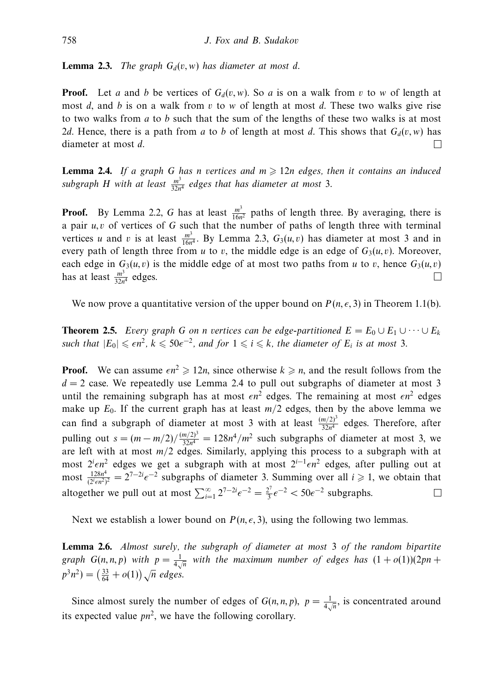**Lemma 2.3.** The graph  $G_d(v, w)$  has diameter at most d.

**Proof.** Let *a* and *b* be vertices of  $G_d(v, w)$ . So *a* is on a walk from *v* to *w* of length at most *d*, and *b* is on a walk from *v* to *w* of length at most *d*. These two walks give rise to two walks from *a* to *b* such that the sum of the lengths of these two walks is at most 2*d*. Hence, there is a path from *a* to *b* of length at most *d*. This shows that  $G_d(v, w)$  has diameter at most *d*.  $\Box$ 

**Lemma 2.4.** If a graph G has *n* vertices and  $m \ge 12n$  edges, then it contains an induced subgraph *H* with at least  $\frac{m^3}{32n^4}$  edges that has diameter at most 3.

**Proof.** By Lemma 2.2, *G* has at least  $\frac{m^3}{16n^2}$  paths of length three. By averaging, there is a pair *u, v* of vertices of *G* such that the number of paths of length three with terminal vertices *u* and *v* is at least  $\frac{m^3}{16n^4}$ . By Lemma 2.3,  $G_3(u, v)$  has diameter at most 3 and in every path of length three from *u* to *v*, the middle edge is an edge of  $G_3(u, v)$ . Moreover, each edge in  $G_3(u, v)$  is the middle edge of at most two paths from *u* to *v*, hence  $G_3(u, v)$ has at least  $\frac{m^3}{32n^4}$  edges.  $\Box$ 

We now prove a quantitative version of the upper bound on  $P(n, \epsilon, 3)$  in Theorem 1.1(b).

**Theorem 2.5.** Every graph *G* on *n* vertices can be edge-partitioned  $E = E_0 \cup E_1 \cup \cdots \cup E_k$ such that  $|E_0| \leqslant \epsilon n^2$ ,  $k \leqslant 50\epsilon^{-2}$ , and for  $1 \leqslant i \leqslant k$ , the diameter of  $E_i$  is at most 3.

**Proof.** We can assume  $\epsilon n^2 \ge 12n$ , since otherwise  $k \ge n$ , and the result follows from the  $d = 2$  case. We repeatedly use Lemma 2.4 to pull out subgraphs of diameter at most 3 until the remaining subgraph has at most  $\epsilon n^2$  edges. The remaining at most  $\epsilon n^2$  edges make up  $E_0$ . If the current graph has at least  $m/2$  edges, then by the above lemma we can find a subgraph of diameter at most 3 with at least  $\frac{(m/2)^3}{32n^4}$  edges. Therefore, after pulling out  $s = (m - m/2)/\frac{(m/2)^3}{32n^4} = 128n^4/m^2$  such subgraphs of diameter at most 3, we are left with at most  $m/2$  edges. Similarly, applying this process to a subgraph with at most 2<sup>*i*</sup> edges we get a subgraph with at most 2<sup>*i*-1</sup> en<sup>2</sup> edges, after pulling out at most  $\frac{128n^4}{(2^i \epsilon n^2)^2} = 2^{7-2i} \epsilon^{-2}$  subgraphs of diameter 3. Summing over all  $i \ge 1$ , we obtain that altogether we pull out at most  $\sum_{i=1}^{\infty} 2^{7-2i} \epsilon^{-2} = \frac{2^7}{3} \epsilon^{-2} < 50 \epsilon^{-2}$  subgraphs.  $\Box$ 

Next we establish a lower bound on  $P(n, \epsilon, 3)$ , using the following two lemmas.

**Lemma 2.6.** Almost surely, the subgraph of diameter at most 3 of the random bipartite graph  $G(n, n, p)$  with  $p = \frac{1}{4\sqrt{n}}$  with the maximum number of edges has  $(1 + o(1))(2pn + p)$  $p^3 n^2$ ) =  $\left(\frac{33}{64} + o(1)\right) \sqrt{n}$  edges.

Since almost surely the number of edges of  $G(n, n, p)$ ,  $p = \frac{1}{4\sqrt{n}}$ , is concentrated around its expected value  $pn^2$ , we have the following corollary.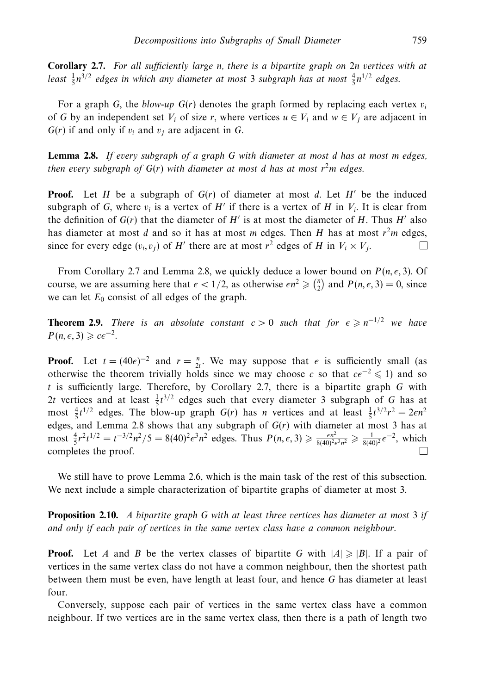**Corollary 2.7.** For all sufficiently large *n*, there is a bipartite graph on 2*n* vertices with at least  $\frac{1}{5}n^{3/2}$  edges in which any diameter at most 3 subgraph has at most  $\frac{4}{5}n^{1/2}$  edges.

For a graph *G*, the *blow-up*  $G(r)$  denotes the graph formed by replacing each vertex  $v_i$ of *G* by an independent set  $V_i$  of size *r*, where vertices  $u \in V_i$  and  $w \in V_j$  are adjacent in  $G(r)$  if and only if  $v_i$  and  $v_j$  are adjacent in  $G$ .

**Lemma 2.8.** If every subgraph of a graph *G* with diameter at most *d* has at most *m* edges, then every subgraph of  $G(r)$  with diameter at most d has at most  $r<sup>2</sup>m$  edges.

**Proof.** Let *H* be a subgraph of  $G(r)$  of diameter at most *d*. Let *H'* be the induced subgraph of *G*, where  $v_i$  is a vertex of *H'* if there is a vertex of *H* in  $V_i$ . It is clear from the definition of  $G(r)$  that the diameter of  $H'$  is at most the diameter of  $H$ . Thus  $H'$  also has diameter at most *d* and so it has at most *m* edges. Then *H* has at most  $r<sup>2</sup>m$  edges, since for every edge  $(v_i, v_j)$  of *H'* there are at most  $r^2$  edges of *H* in  $V_i \times V_j$ . П

From Corollary 2.7 and Lemma 2.8, we quickly deduce a lower bound on  $P(n, \epsilon, 3)$ . Of course, we are assuming here that  $\epsilon < 1/2$ , as otherwise  $\epsilon n^2 \geq \binom{n}{2}$  and  $P(n, \epsilon, 3) = 0$ , since we can let  $E_0$  consist of all edges of the graph.

**Theorem 2.9.** There is an absolute constant  $c > 0$  such that for  $\epsilon \geq n^{-1/2}$  we have  $P(n, \epsilon, 3) \geqslant c\epsilon^{-2}.$ 

**Proof.** Let  $t = (40\epsilon)^{-2}$  and  $r = \frac{n}{2t}$ . We may suppose that  $\epsilon$  is sufficiently small (as otherwise the theorem trivially holds since we may choose *c* so that  $c\epsilon^{-2} \leq 1$  and so *t* is sufficiently large. Therefore, by Corollary 2.7, there is a bipartite graph *G* with 2*t* vertices and at least  $\frac{1}{5}t^{3/2}$  edges such that every diameter 3 subgraph of *G* has at most  $\frac{4}{5}t^{1/2}$  edges. The blow-up graph *G*(*r*) has *n* vertices and at least  $\frac{1}{5}t^{3/2}r^2 = 2\epsilon n^2$ edges, and Lemma 2.8 shows that any subgraph of  $G(r)$  with diameter at most 3 has at most  $\frac{4}{5}r^2t^{1/2} = t^{-3/2}n^2/5 = 8(40)^2 \epsilon^3 n^2$  edges. Thus  $P(n, \epsilon, 3) \ge \frac{\epsilon n^2}{8(40)^2 \epsilon^3 n^2} \ge \frac{1}{8(40)^2} \epsilon^{-2}$ , which completes the proof.

We still have to prove Lemma 2.6, which is the main task of the rest of this subsection. We next include a simple characterization of bipartite graphs of diameter at most 3.

**Proposition 2.10.** A bipartite graph *G* with at least three vertices has diameter at most 3 if and only if each pair of vertices in the same vertex class have a common neighbour.

**Proof.** Let *A* and *B* be the vertex classes of bipartite *G* with  $|A| \ge |B|$ . If a pair of vertices in the same vertex class do not have a common neighbour, then the shortest path between them must be even, have length at least four, and hence *G* has diameter at least four.

Conversely, suppose each pair of vertices in the same vertex class have a common neighbour. If two vertices are in the same vertex class, then there is a path of length two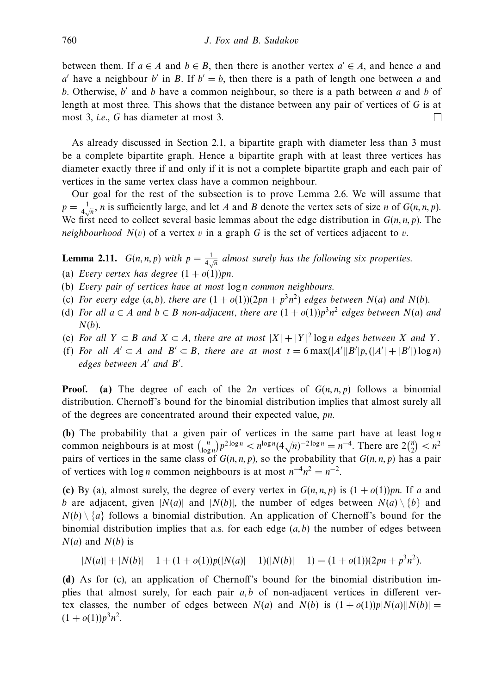between them. If  $a \in A$  and  $b \in B$ , then there is another vertex  $a' \in A$ , and hence a and *a* have a neighbour *b* in *B*. If  $b' = b$ , then there is a path of length one between *a* and *b*. Otherwise, *b* and *b* have a common neighbour, so there is a path between *a* and *b* of length at most three. This shows that the distance between any pair of vertices of *G* is at most 3, i.e., *G* has diameter at most 3.  $\Box$ 

As already discussed in Section 2.1, a bipartite graph with diameter less than 3 must be a complete bipartite graph. Hence a bipartite graph with at least three vertices has diameter exactly three if and only if it is not a complete bipartite graph and each pair of vertices in the same vertex class have a common neighbour.

Our goal for the rest of the subsection is to prove Lemma 2.6. We will assume that  $p = \frac{1}{4\sqrt{n}}$ , *n* is sufficiently large, and let *A* and *B* denote the vertex sets of size *n* of *G*(*n, n, p*). We first need to collect several basic lemmas about the edge distribution in  $G(n, n, p)$ . The *neighbourhood*  $N(v)$  of a vertex  $v$  in a graph  $G$  is the set of vertices adjacent to  $v$ .

**Lemma 2.11.**  $G(n, n, p)$  with  $p = \frac{1}{4\sqrt{n}}$  almost surely has the following six properties.

- (a) Every vertex has degree  $(1 + o(1))$ *pn*.
- (b) Every pair of vertices have at most log *n* common neighbours.
- (c) For every edge  $(a, b)$ , there are  $(1 + o(1))(2pn + p^3n^2)$  edges between  $N(a)$  and  $N(b)$ .
- (d) For all  $a \in A$  and  $b \in B$  non-adjacent, there are  $(1 + o(1))p<sup>3</sup>n<sup>2</sup>$  edges between  $N(a)$  and *N*(*b*).
- (e) For all *Y* ⊂ *B* and *X* ⊂ *A*, there are at most  $|X| + |Y|^2 \log n$  edges between *X* and *Y*.
- (f) For all  $A' \subset A$  and  $B' \subset B$ , there are at most  $t = 6 \max(|A'||B'|p, (|A'| + |B'|) \log n)$ edges between *A'* and **B'**.

**Proof.** (a) The degree of each of the 2*n* vertices of  $G(n, n, p)$  follows a binomial distribution. Chernoff's bound for the binomial distribution implies that almost surely all of the degrees are concentrated around their expected value, *pn*.

**(b)** The probability that a given pair of vertices in the same part have at least log *n* common neighbours is at most  $\binom{n}{\log n} p^{2\log n} < n^{\log n} (4\sqrt{n})^{-2\log n} = n^{-4}$ . There are  $2\binom{n}{2} < n^2$ pairs of vertices in the same class of  $G(n, n, p)$ , so the probability that  $G(n, n, p)$  has a pair of vertices with  $\log n$  common neighbours is at most  $n^{-4}n^2 = n^{-2}$ .

**(c)** By (a), almost surely, the degree of every vertex in  $G(n, n, p)$  is  $(1 + o(1))$ *pn*. If *a* and *b* are adjacent, given  $|N(a)|$  and  $|N(b)|$ , the number of edges between  $N(a) \setminus \{b\}$  and  $N(b) \setminus \{a\}$  follows a binomial distribution. An application of Chernoff's bound for the binomial distribution implies that a.s. for each edge (*a, b*) the number of edges between  $N(a)$  and  $N(b)$  is

$$
|N(a)|+|N(b)|-1+(1+o(1))p(|N(a)|-1)(|N(b)|-1)=(1+o(1))(2pn+p3n2).
$$

**(d)** As for (c), an application of Chernoff's bound for the binomial distribution implies that almost surely, for each pair *a, b* of non-adjacent vertices in different vertex classes, the number of edges between  $N(a)$  and  $N(b)$  is  $(1 + o(1))p|N(a)||N(b)| =$  $(1 + o(1))p<sup>3</sup>n<sup>2</sup>$ .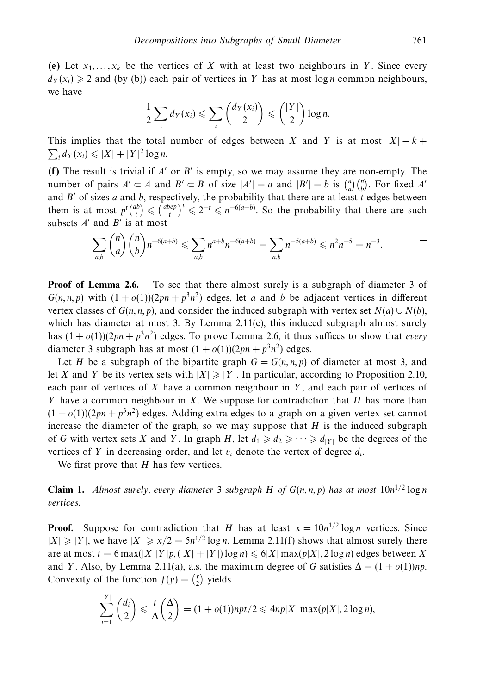(e) Let  $x_1, \ldots, x_k$  be the vertices of X with at least two neighbours in Y. Since every  $d_Y(x_i) \geq 2$  and (by (b)) each pair of vertices in *Y* has at most log *n* common neighbours, we have

$$
\frac{1}{2}\sum_i d_Y(x_i) \leqslant \sum_i \binom{d_Y(x_i)}{2} \leqslant \binom{|Y|}{2} \log n.
$$

This implies that the total number of edges between *X* and *Y* is at most  $|X| - k$  +  $\sum_{i} d_{Y}(x_{i}) \leq |X| + |Y|^{2} \log n.$ 

**(f)** The result is trivial if  $A'$  or  $B'$  is empty, so we may assume they are non-empty. The number of pairs  $A' \subset A$  and  $B' \subset B$  of size  $|A'| = a$  and  $|B'| = b$  is  $\binom{n}{a}\binom{n}{b}$ . For fixed  $A'$ and  $B'$  of sizes  $a$  and  $b$ , respectively, the probability that there are at least  $t$  edges between them is at most  $p^t \binom{ab}{t} \leq \left(\frac{abep}{t}\right)^t \leq 2^{-t} \leq n^{-(a+b)}$ . So the probability that there are such subsets  $A'$  and  $B'$  is at most

$$
\sum_{a,b} \binom{n}{a} \binom{n}{b} n^{-6(a+b)} \leq \sum_{a,b} n^{a+b} n^{-6(a+b)} = \sum_{a,b} n^{-5(a+b)} \leq n^2 n^{-5} = n^{-3}.
$$

**Proof of Lemma 2.6.** To see that there almost surely is a subgraph of diameter 3 of  $G(n, n, p)$  with  $(1 + o(1))(2pn + p^3n^2)$  edges, let *a* and *b* be adjacent vertices in different vertex classes of  $G(n, n, p)$ , and consider the induced subgraph with vertex set  $N(a) \cup N(b)$ , which has diameter at most 3. By Lemma 2.11(c), this induced subgraph almost surely has  $(1 + o(1))(2pn + p<sup>3</sup>n<sup>2</sup>)$  edges. To prove Lemma 2.6, it thus suffices to show that *every* diameter 3 subgraph has at most  $(1 + o(1))(2pn + p^3n^2)$  edges.

Let *H* be a subgraph of the bipartite graph  $G = G(n, n, p)$  of diameter at most 3, and let *X* and *Y* be its vertex sets with  $|X| \ge |Y|$ . In particular, according to Proposition 2.10, each pair of vertices of *X* have a common neighbour in *Y* , and each pair of vertices of *Y* have a common neighbour in *X*. We suppose for contradiction that *H* has more than  $(1 + o(1))(2pn + p<sup>3</sup>n<sup>2</sup>)$  edges. Adding extra edges to a graph on a given vertex set cannot increase the diameter of the graph, so we may suppose that *H* is the induced subgraph of *G* with vertex sets *X* and *Y*. In graph *H*, let  $d_1 \geq d_2 \geq \cdots \geq d_{|Y|}$  be the degrees of the vertices of *Y* in decreasing order, and let  $v_i$  denote the vertex of degree  $d_i$ .

We first prove that *H* has few vertices.

**Claim 1.** Almost surely, every diameter 3 subgraph *H* of  $G(n, n, p)$  has at most  $10n^{1/2} \log n$ vertices.

**Proof.** Suppose for contradiction that *H* has at least  $x = 10n^{1/2} \log n$  vertices. Since  $|X| \ge |Y|$ , we have  $|X| \ge x/2 = 5n^{1/2} \log n$ . Lemma 2.11(f) shows that almost surely there are at most  $t = 6$  max( $|X||Y|p$ ,  $(|X| + |Y|) \log n \le 6|X| \max(p|X|, 2 \log n)$  edges between X and *Y*. Also, by Lemma 2.11(a), a.s. the maximum degree of *G* satisfies  $\Delta = (1 + o(1))np$ . Convexity of the function  $f(y) = \begin{pmatrix} y \\ 2 \end{pmatrix}$  yields

$$
\sum_{i=1}^{|Y|} \binom{d_i}{2} \leqslant \frac{t}{\Delta} \binom{\Delta}{2} = (1+o(1))npt/2 \leqslant 4np|X| \max(p|X|, 2\log n),
$$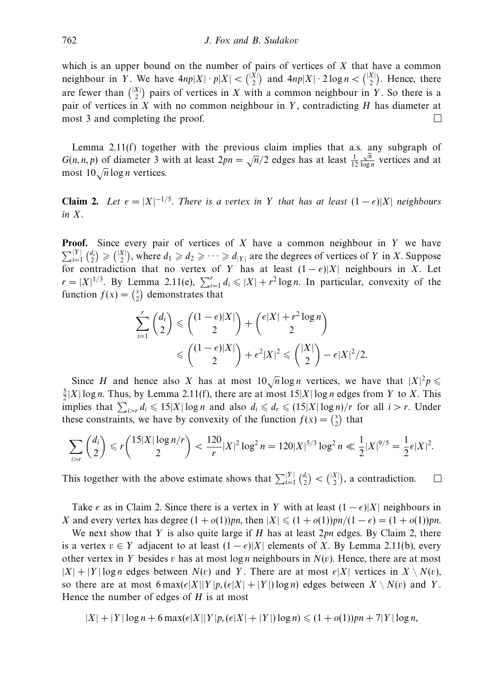which is an upper bound on the number of pairs of vertices of *X* that have a common neighbour in *Y*. We have  $4np|X| \cdot p|X| < \binom{|X|}{2}$  and  $4np|X| \cdot 2\log n < \binom{|X|}{2}$ . Hence, there are fewer than  $\binom{|X|}{2}$  pairs of vertices in *X* with a common neighbour in *Y*. So there is a pair of vertices in *X* with no common neighbour in *Y* , contradicting *H* has diameter at most 3 and completing the proof.  $\Box$ 

Lemma 2.11(f) together with the previous claim implies that a.s. any subgraph of *G*(*n, n, p*) of diameter 3 with at least  $2pn = \sqrt{n}/2$  edges has at least  $\frac{1}{12}$  $\frac{\sqrt{n}}{\log n}$  vertices and at most 10√*<sup>n</sup>* log *<sup>n</sup>* vertices.

**Claim 2.** Let  $\epsilon = |X|^{-1/5}$ . There is a vertex in *Y* that has at least  $(1 - \epsilon)|X|$  neighbours in *X*.

**Proof.** Since every pair of vertices of *X* have a common neighbour in *Y* we have  $\sum_{i=1}^{|Y|} {d_i \choose 2} \geq { |X| \choose 2}$ , where  $d_1 \geq d_2 \geq \cdots \geq d_{|Y|}$  are the degrees of vertices of *Y* in *X*. Suppose for contradiction that no vertex of *Y* has at least  $(1 - \epsilon)|X|$  neighbours in *X*. Let  $r = |X|^{1/3}$ . By Lemma 2.11(e),  $\sum_{i=1}^{r} d_i \leq |X| + r^2 \log n$ . In particular, convexity of the function  $f(x) = \binom{x}{2}$  demonstrates that

$$
\sum_{i=1}^r \binom{d_i}{2} \le \binom{(1-\epsilon)|X|}{2} + \binom{\epsilon|X| + r^2 \log n}{2}
$$
  

$$
\le \binom{(1-\epsilon)|X|}{2} + \epsilon^2 |X|^2 \le \binom{|X|}{2} - \epsilon |X|^2 / 2.
$$

Since *H* and hence also *X* has at most  $10\sqrt{n} \log n$  vertices, we have that  $|X|^2 p \le$  $\frac{5}{2}|X| \log n$ . Thus, by Lemma 2.11(f), there are at most  $15|X| \log n$  edges from *Y* to *X*. This implies that  $\sum_{i>r} d_i \leq 15|X| \log n$  and also  $d_i \leq d_r \leq (15|X| \log n)/r$  for all  $i > r$ . Under these constraints, we have by convexity of the function  $f(x) = \binom{x}{2}$  that

$$
\sum_{i>r} \binom{d_i}{2} \leqslant r \binom{15|X|\log n/r}{2} < \frac{120}{r} |X|^2 \log^2 n = 120|X|^{5/3} \log^2 n \ll \frac{1}{2} |X|^{9/5} = \frac{1}{2} \epsilon |X|^2.
$$

This together with the above estimate shows that  $\sum_{i=1}^{|Y|} {d_i \choose 2} < { |X| \choose 2}$ , a contradiction.  $\Box$ 

Take  $\epsilon$  as in Claim 2. Since there is a vertex in *Y* with at least  $(1 - \epsilon)|X|$  neighbours in *X* and every vertex has degree  $(1 + o(1))pn$ , then  $|X| \leq (1 + o(1))pn/(1 - \epsilon) = (1 + o(1))pn$ .

We next show that *Y* is also quite large if *H* has at least 2*pn* edges. By Claim 2, there is a vertex  $v \in Y$  adjacent to at least  $(1 - \epsilon)|X|$  elements of *X*. By Lemma 2.11(b), every other vertex in *Y* besides *v* has at most  $\log n$  neighbours in  $N(v)$ . Hence, there are at most  $|X| + |Y| \log n$  edges between  $N(v)$  and *Y*. There are at most  $\epsilon |X|$  vertices in  $X \setminus N(v)$ , so there are at most  $6 \max(\epsilon |X||Y|p, (\epsilon |X| + |Y|) \log n)$  edges between  $X \setminus N(v)$  and Y. Hence the number of edges of *H* is at most

$$
|X|+|Y|\log n+6\max(\epsilon|X||Y|p,(\epsilon|X|+|Y|)\log n)\leq (1+o(1))pn+7|Y|\log n,
$$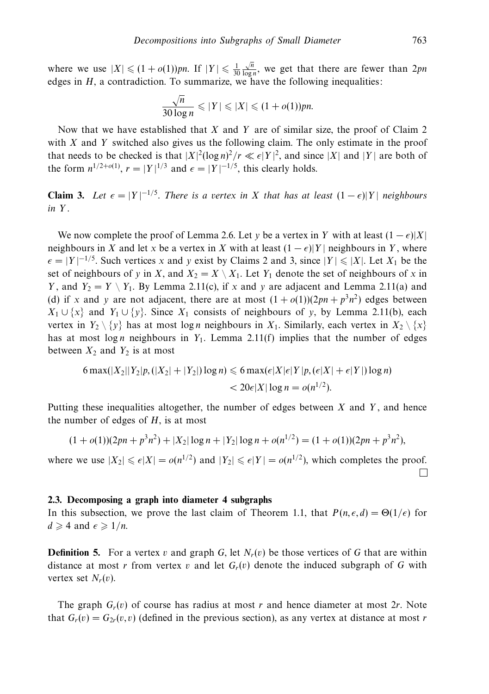where we use  $|X| \le (1 + o(1))pn$ . If  $|Y| \le \frac{1}{30}$  $\frac{\sqrt{n}}{\log n}$ , we get that there are fewer than 2*pn* edges in *H*, a contradiction. To summarize, we have the following inequalities:

$$
\frac{\sqrt{n}}{30\log n} \leqslant |Y| \leqslant |X| \leqslant (1+o(1))pn.
$$

Now that we have established that *X* and *Y* are of similar size, the proof of Claim 2 with *X* and *Y* switched also gives us the following claim. The only estimate in the proof that needs to be checked is that  $|X|^2(\log n)^2/r \ll \epsilon |Y|^2$ , and since  $|X|$  and  $|Y|$  are both of the form  $n^{1/2+o(1)}$ ,  $r = |Y|^{1/3}$  and  $\epsilon = |Y|^{-1/5}$ , this clearly holds.

**Claim 3.** Let  $\epsilon = |Y|^{-1/5}$ . There is a vertex in *X* that has at least  $(1 - \epsilon)|Y|$  neighbours in *Y* .

We now complete the proof of Lemma 2.6. Let *y* be a vertex in *Y* with at least  $(1 - \epsilon)|X|$ neighbours in *X* and let *x* be a vertex in *X* with at least  $(1 - \epsilon)|Y|$  neighbours in *Y*, where  $\epsilon$  = |*Y* |<sup>−1/5</sup>. Such vertices *x* and *y* exist by Claims 2 and 3, since |*Y* | ≤ |*X*|. Let *X*<sub>1</sub> be the set of neighbours of *y* in *X*, and  $X_2 = X \setminus X_1$ . Let  $Y_1$  denote the set of neighbours of *x* in *Y*, and  $Y_2 = Y \setminus Y_1$ . By Lemma 2.11(c), if *x* and *y* are adjacent and Lemma 2.11(a) and (d) if *x* and *y* are not adjacent, there are at most  $(1 + o(1))(2pn + p^3n^2)$  edges between  $X_1 \cup \{x\}$  and  $Y_1 \cup \{y\}$ . Since  $X_1$  consists of neighbours of *y*, by Lemma 2.11(b), each vertex in  $Y_2 \setminus \{y\}$  has at most log *n* neighbours in  $X_1$ . Similarly, each vertex in  $X_2 \setminus \{x\}$ has at most log *n* neighbours in  $Y_1$ . Lemma 2.11(f) implies that the number of edges between  $X_2$  and  $Y_2$  is at most

$$
6\max(|X_2||Y_2|p, (|X_2|+|Y_2|)\log n) \leq 6\max(\epsilon|X|\epsilon|Y|p, (\epsilon|X|+\epsilon|Y|)\log n)
$$
  
< 
$$
< 20\epsilon|X|\log n = o(n^{1/2}).
$$

Putting these inequalities altogether, the number of edges between *X* and *Y* , and hence the number of edges of *H*, is at most

$$
(1 + o(1))(2pn + p3n2) + |X2| \log n + |Y2| \log n + o(n1/2) = (1 + o(1))(2pn + p3n2),
$$

where we use  $|X_2| \leq \epsilon |X| = o(n^{1/2})$  and  $|Y_2| \leq \epsilon |Y| = o(n^{1/2})$ , which completes the proof.  $\Box$ 

#### **2.3. Decomposing a graph into diameter 4 subgraphs**

In this subsection, we prove the last claim of Theorem 1.1, that  $P(n, \epsilon, d) = \Theta(1/\epsilon)$  for  $d \geqslant 4$  and  $\epsilon \geqslant 1/n$ .

**Definition 5.** For a vertex *v* and graph *G*, let  $N_r(v)$  be those vertices of *G* that are within distance at most *r* from vertex *v* and let  $G_r(v)$  denote the induced subgraph of G with vertex set  $N_r(v)$ .

The graph  $G_r(v)$  of course has radius at most *r* and hence diameter at most 2*r*. Note that  $G_r(v) = G_{2r}(v, v)$  (defined in the previous section), as any vertex at distance at most *r*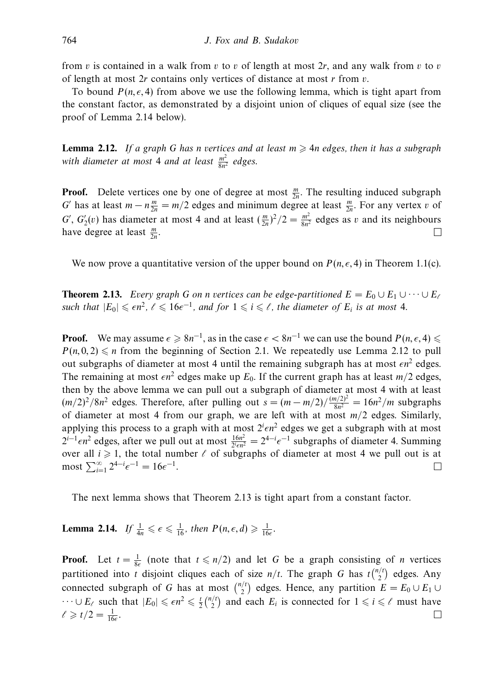from *v* is contained in a walk from *v* to *v* of length at most 2*r*, and any walk from *v* to *v* of length at most 2*r* contains only vertices of distance at most *r* from *v*.

To bound  $P(n, \epsilon, 4)$  from above we use the following lemma, which is tight apart from the constant factor, as demonstrated by a disjoint union of cliques of equal size (see the proof of Lemma 2.14 below).

**Lemma 2.12.** If a graph G has *n* vertices and at least  $m \ge 4n$  edges, then it has a subgraph with diameter at most 4 and at least  $\frac{m^2}{8n^2}$  edges.

**Proof.** Delete vertices one by one of degree at most  $\frac{m}{2n}$ . The resulting induced subgraph *G* has at least  $m - n \frac{m}{2n} = m/2$  edges and minimum degree at least  $\frac{m}{2n}$ . For any vertex *v* of *G*<sup>'</sup>,  $G'_2(v)$  has diameter at most 4 and at least  $(\frac{m}{2n})^2/2 = \frac{m^2}{8n^2}$  edges as *v* and its neighbours have degree at least  $\frac{m}{2n}$ .

We now prove a quantitative version of the upper bound on  $P(n, \epsilon, 4)$  in Theorem 1.1(c).

**Theorem 2.13.** Every graph *G* on *n* vertices can be edge-partitioned  $E = E_0 \cup E_1 \cup \cdots \cup E_\ell$ such that  $|E_0| \leqslant \epsilon n^2$ ,  $\ell \leqslant 16\epsilon^{-1}$ , and for  $1 \leqslant i \leqslant \ell$ , the diameter of  $E_i$  is at most 4.

**Proof.** We may assume  $\epsilon \ge 8n^{-1}$ , as in the case  $\epsilon < 8n^{-1}$  we can use the bound  $P(n, \epsilon, 4) \le$  $P(n, 0, 2) \leq n$  from the beginning of Section 2.1. We repeatedly use Lemma 2.12 to pull out subgraphs of diameter at most 4 until the remaining subgraph has at most  $\epsilon n^2$  edges. The remaining at most  $\epsilon n^2$  edges make up  $E_0$ . If the current graph has at least  $m/2$  edges, then by the above lemma we can pull out a subgraph of diameter at most 4 with at least  $(m/2)^2/8n^2$  edges. Therefore, after pulling out  $s = (m - m/2)/\frac{(m/2)^2}{8n^2} = 16n^2/m$  subgraphs of diameter at most 4 from our graph, we are left with at most *m/*2 edges. Similarly, applying this process to a graph with at most  $2^{i} \epsilon n^2$  edges we get a subgraph with at most  $2^{i-1} \epsilon n^2$  edges, after we pull out at most  $\frac{16n^2}{2^i \epsilon n^2} = 2^{4-i} \epsilon^{-1}$  subgraphs of diameter 4. Summing over all  $i \geq 1$ , the total number  $\ell$  of subgraphs of diameter at most 4 we pull out is at  $\text{most } \sum_{i=1}^{\infty} 2^{4-i} \epsilon^{-1} = 16 \epsilon^{-1}.$  $\Box$ 

The next lemma shows that Theorem 2.13 is tight apart from a constant factor.

**Lemma 2.14.** If  $\frac{1}{4n} \leqslant \epsilon \leqslant \frac{1}{16}$ , then  $P(n, \epsilon, d) \geqslant \frac{1}{16\epsilon}$ .

**Proof.** Let  $t = \frac{1}{8\epsilon}$  (note that  $t \le n/2$ ) and let *G* be a graph consisting of *n* vertices partitioned into *t* disjoint cliques each of size  $n/t$ . The graph *G* has  $t\binom{n/t}{2}$  edges. Any connected subgraph of *G* has at most  $\binom{n}{2}$  edges. Hence, any partition  $E = E_0 \cup E_1 \cup E_2$  $\cdots \cup E_\ell$  such that  $|E_0| \leq \epsilon n^2 \leq \frac{t}{2} {n/t \choose 2}$  and each  $E_i$  is connected for  $1 \leq i \leq \ell$  must have  $\ell \geqslant t/2 = \frac{1}{16\epsilon}.$  $\Box$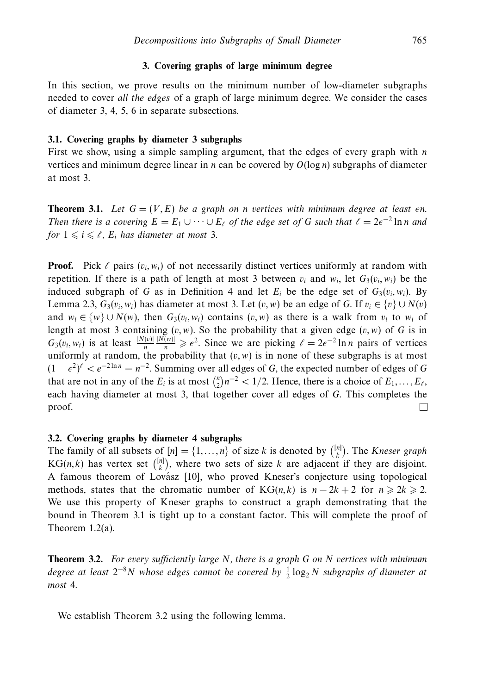# **3. Covering graphs of large minimum degree**

In this section, we prove results on the minimum number of low-diameter subgraphs needed to cover all the edges of a graph of large minimum degree. We consider the cases of diameter 3, 4, 5, 6 in separate subsections.

#### **3.1. Covering graphs by diameter 3 subgraphs**

First we show, using a simple sampling argument, that the edges of every graph with *n* vertices and minimum degree linear in *n* can be covered by  $O(log n)$  subgraphs of diameter at most 3.

**Theorem 3.1.** Let  $G = (V, E)$  be a graph on *n* vertices with minimum degree at least  $\epsilon$ n. Then there is a covering  $E = E_1 \cup \cdots \cup E_\ell$  of the edge set of G such that  $\ell = 2\epsilon^{-2} \ln n$  and for  $1 \leq i \leq \ell$ ,  $E_i$  has diameter at most 3.

**Proof.** Pick  $\ell$  pairs  $(v_i, w_i)$  of not necessarily distinct vertices uniformly at random with repetition. If there is a path of length at most 3 between  $v_i$  and  $w_i$ , let  $G_3(v_i, w_i)$  be the induced subgraph of *G* as in Definition 4 and let  $E_i$  be the edge set of  $G_3(v_i, w_i)$ . By Lemma 2.3,  $G_3(v_i, w_i)$  has diameter at most 3. Let  $(v, w)$  be an edge of *G*. If  $v_i \in \{v\} \cup N(v)$ and  $w_i \in \{w\} \cup N(w)$ , then  $G_3(v_i, w_i)$  contains  $(v, w)$  as there is a walk from  $v_i$  to  $w_i$  of length at most 3 containing  $(v, w)$ . So the probability that a given edge  $(v, w)$  of *G* is in  $G_3(v_i, w_i)$  is at least  $\frac{|N(v)|}{n}$  $\frac{|N(w)|}{n} \geq \epsilon^2$ . Since we are picking  $\ell = 2\epsilon^{-2} \ln n$  pairs of vertices uniformly at random, the probability that  $(v, w)$  is in none of these subgraphs is at most  $(1 - \epsilon^2)^{\ell} < e^{-2 \ln n} = n^{-2}$ . Summing over all edges of *G*, the expected number of edges of *G* that are not in any of the  $E_i$  is at most  ${n \choose 2} n^{-2} < 1/2$ . Hence, there is a choice of  $E_1, \ldots, E_\ell$ , each having diameter at most 3, that together cover all edges of *G*. This completes the proof.  $\Box$ 

#### **3.2. Covering graphs by diameter 4 subgraphs**

The family of all subsets of  $[n] = \{1, ..., n\}$  of size *k* is denoted by  $\binom{[n]}{k}$ . The *Kneser graph*  $KG(n, k)$  has vertex set  $\binom{[n]}{k}$ , where two sets of size *k* are adjacent if they are disjoint. A famous theorem of Lovász [10], who proved Kneser's conjecture using topological methods, states that the chromatic number of  $KG(n, k)$  is  $n - 2k + 2$  for  $n \ge 2k \ge 2$ . We use this property of Kneser graphs to construct a graph demonstrating that the bound in Theorem 3.1 is tight up to a constant factor. This will complete the proof of Theorem 1.2(a).

**Theorem 3.2.** For every sufficiently large *N*, there is a graph *G* on *N* vertices with minimum degree at least 2<sup>-8</sup>N whose edges cannot be covered by  $\frac{1}{2}$ log<sub>2</sub> N subgraphs of diameter at most 4.

We establish Theorem 3.2 using the following lemma.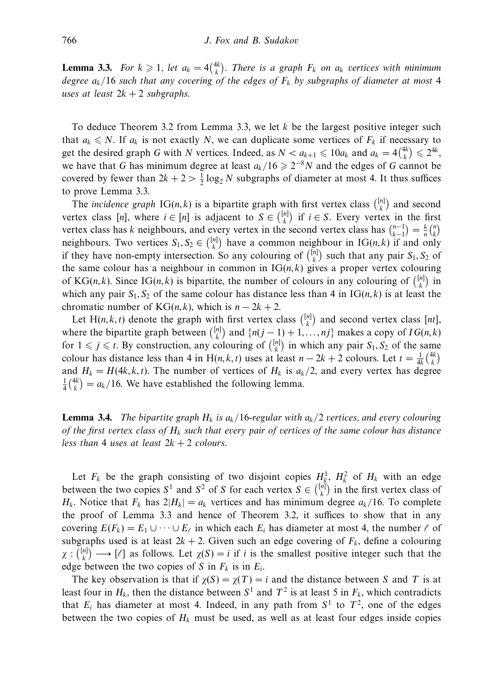**Lemma 3.3.** For  $k \geq 1$ , let  $a_k = 4\binom{4k}{k}$ . There is a graph  $F_k$  on  $a_k$  vertices with minimum degree *ak/*16 such that any covering of the edges of *Fk* by subgraphs of diameter at most 4 uses at least  $2k + 2$  subgraphs.

To deduce Theorem 3.2 from Lemma 3.3, we let *k* be the largest positive integer such that  $a_k \leq N$ . If  $a_k$  is not exactly *N*, we can duplicate some vertices of  $F_k$  if necessary to get the desired graph *G* with *N* vertices. Indeed, as  $N < a_{k+1} \le 10a_k$  and  $a_k = 4\binom{4k}{k} \le 2^{4k}$ , we have that *G* has minimum degree at least  $a_k/16 \geq 2^{-8}N$  and the edges of *G* cannot be covered by fewer than  $2k + 2 > \frac{1}{2} \log_2 N$  subgraphs of diameter at most 4. It thus suffices to prove Lemma 3.3.

The *incidence graph*  $IG(n, k)$  is a bipartite graph with first vertex class  $\binom{[n]}{k}$  and second vertex class [*n*], where  $i \in [n]$  is adjacent to  $S \in \binom{[n]}{k}$  if  $i \in S$ . Every vertex in the first vertex class has *k* neighbours, and every vertex in the second vertex class has  $\binom{n-1}{k-1} = \frac{k}{n} \binom{n}{k}$ neighbours. Two vertices  $S_1, S_2 \in \binom{[n]}{k}$  have a common neighbour in IG(*n, k*) if and only if they have non-empty intersection. So any colouring of  $\binom{[n]}{k}$  such that any pair  $S_1, S_2$  of the same colour has a neighbour in common in  $IG(n, k)$  gives a proper vertex colouring of KG(*n*,*k*). Since IG(*n*,*k*) is bipartite, the number of colours in any colouring of  $\binom{[n]}{k}$  in which any pair  $S_1, S_2$  of the same colour has distance less than 4 in  $IG(n, k)$  is at least the chromatic number of  $KG(n, k)$ , which is  $n - 2k + 2$ .

Let H(*n*,*k*,*t*) denote the graph with first vertex class  $\binom{[n]}{k}$  and second vertex class  $[nt]$ , where the bipartite graph between  $\binom{[n]}{k}$  and  $\{n(j-1)+1,\ldots,nj\}$  makes a copy of  $IG(n,k)$ for  $1 \leq j \leq t$ . By construction, any colouring of  $\binom{[n]}{k}$  in which any pair  $S_1, S_2$  of the same colour has distance less than 4 in H(*n*, *k*, *t*) uses at least *n* − 2*k* + 2 colours. Let  $t = \frac{1}{4k} {4k \choose k}$ and  $H_k = H(4k, k, t)$ . The number of vertices of  $H_k$  is  $a_k/2$ , and every vertex has degree  $\frac{1}{4} \binom{4k}{k} = a_k/16$ . We have established the following lemma.

**Lemma 3.4.** The bipartite graph  $H_k$  is  $a_k/16$ -regular with  $a_k/2$  vertices, and every colouring of the first vertex class of  $H_k$  such that every pair of vertices of the same colour has distance less than 4 uses at least  $2k + 2$  colours.

Let  $F_k$  be the graph consisting of two disjoint copies  $H_k^1$ ,  $H_k^2$  of  $H_k$  with an edge between the two copies  $S^1$  and  $S^2$  of *S* for each vertex  $S \in \binom{[n]}{k}$  in the first vertex class of  $H_k$ . Notice that  $F_k$  has  $2|H_k| = a_k$  vertices and has minimum degree  $a_k/16$ . To complete the proof of Lemma 3.3 and hence of Theorem 3.2, it suffices to show that in any covering  $E(F_k) = E_1 \cup \cdots \cup E_\ell$  in which each  $E_i$  has diameter at most 4, the number  $\ell$  of subgraphs used is at least  $2k + 2$ . Given such an edge covering of  $F_k$ , define a colouring  $\chi : \binom{[n]}{k} \longrightarrow [\ell]$  as follows. Let  $\chi(S) = i$  if *i* is the smallest positive integer such that the edge between the two copies of *S* in  $F_k$  is in  $E_i$ .

The key observation is that if  $\chi(S) = \chi(T) = i$  and the distance between *S* and *T* is at least four in  $H_k$ , then the distance between  $S^1$  and  $T^2$  is at least 5 in  $F_k$ , which contradicts that  $E_i$  has diameter at most 4. Indeed, in any path from  $S^1$  to  $T^2$ , one of the edges between the two copies of  $H_k$  must be used, as well as at least four edges inside copies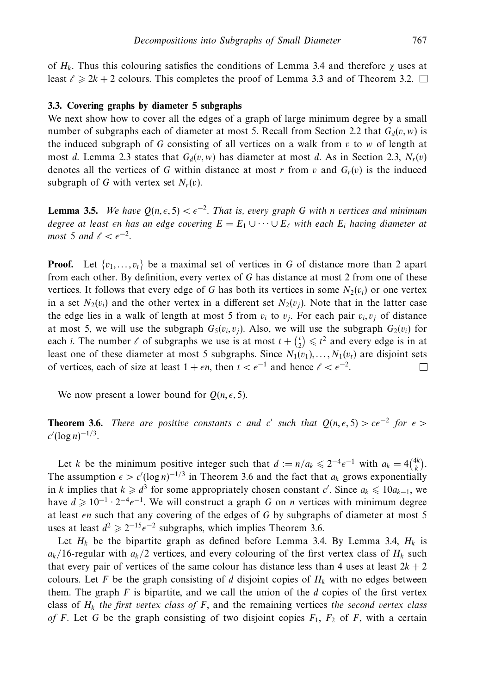of *Hk*. Thus this colouring satisfies the conditions of Lemma 3.4 and therefore *χ* uses at least  $\ell \geq 2k + 2$  colours. This completes the proof of Lemma 3.3 and of Theorem 3.2.

# **3.3. Covering graphs by diameter 5 subgraphs**

We next show how to cover all the edges of a graph of large minimum degree by a small number of subgraphs each of diameter at most 5. Recall from Section 2.2 that  $G_d(v, w)$  is the induced subgraph of *G* consisting of all vertices on a walk from *v* to *w* of length at most *d*. Lemma 2.3 states that  $G_d(v, w)$  has diameter at most *d*. As in Section 2.3,  $N_r(v)$ denotes all the vertices of *G* within distance at most *r* from *v* and  $G_r(v)$  is the induced subgraph of *G* with vertex set  $N_r(v)$ .

**Lemma 3.5.** We have  $Q(n, \epsilon, 5) < \epsilon^{-2}$ . That is, every graph G with *n* vertices and minimum  $d$ egree at least  $\epsilon$ n has an edge covering  $E = E_1 \cup \cdots \cup E_\ell$  with each  $E_i$  having diameter at  $most\,5\,and\, \ell < \epsilon^{-2}.$ 

**Proof.** Let  $\{v_1, \ldots, v_t\}$  be a maximal set of vertices in G of distance more than 2 apart from each other. By definition, every vertex of *G* has distance at most 2 from one of these vertices. It follows that every edge of *G* has both its vertices in some  $N_2(v_i)$  or one vertex in a set  $N_2(v_i)$  and the other vertex in a different set  $N_2(v_i)$ . Note that in the latter case the edge lies in a walk of length at most 5 from  $v_i$  to  $v_j$ . For each pair  $v_i$ ,  $v_j$  of distance at most 5, we will use the subgraph  $G_5(v_i, v_j)$ . Also, we will use the subgraph  $G_2(v_i)$  for each *i*. The number  $\ell$  of subgraphs we use is at most  $t + \binom{t}{2} \leq t^2$  and every edge is in at least one of these diameter at most 5 subgraphs. Since  $N_1(v_1),...,N_1(v_t)$  are disjoint sets of vertices, each of size at least  $1 + \epsilon n$ , then  $t < \epsilon^{-1}$  and hence  $\ell < \epsilon^{-2}$ .  $\Box$ 

We now present a lower bound for  $Q(n, \epsilon, 5)$ .

**Theorem 3.6.** There are positive constants *c* and *c'* such that  $Q(n, \epsilon, 5) > c\epsilon^{-2}$  for  $\epsilon >$ *c* (log *n*) <sup>−</sup>1*/*<sup>3</sup>.

Let *k* be the minimum positive integer such that  $d := n/a_k \leq 2^{-4} \epsilon^{-1}$  with  $a_k = 4 {4k \choose k}$ . The assumption  $\epsilon > c'(\log n)^{-1/3}$  in Theorem 3.6 and the fact that  $a_k$  grows exponentially in *k* implies that  $k \geq d^3$  for some appropriately chosen constant *c'*. Since  $a_k \leq 10a_{k-1}$ , we have  $d \geq 10^{-1} \cdot 2^{-4} \epsilon^{-1}$ . We will construct a graph *G* on *n* vertices with minimum degree at least *en* such that any covering of the edges of *G* by subgraphs of diameter at most 5 uses at least  $d^2 \ge 2^{-15} \epsilon^{-2}$  subgraphs, which implies Theorem 3.6.

Let  $H_k$  be the bipartite graph as defined before Lemma 3.4. By Lemma 3.4,  $H_k$  is  $a_k/16$ -regular with  $a_k/2$  vertices, and every colouring of the first vertex class of  $H_k$  such that every pair of vertices of the same colour has distance less than 4 uses at least  $2k + 2$ colours. Let F be the graph consisting of *d* disjoint copies of  $H_k$  with no edges between them. The graph *F* is bipartite, and we call the union of the *d* copies of the first vertex class of  $H_k$  the first vertex class of  $F$ , and the remaining vertices the second vertex class of *F*. Let *G* be the graph consisting of two disjoint copies  $F_1$ ,  $F_2$  of *F*, with a certain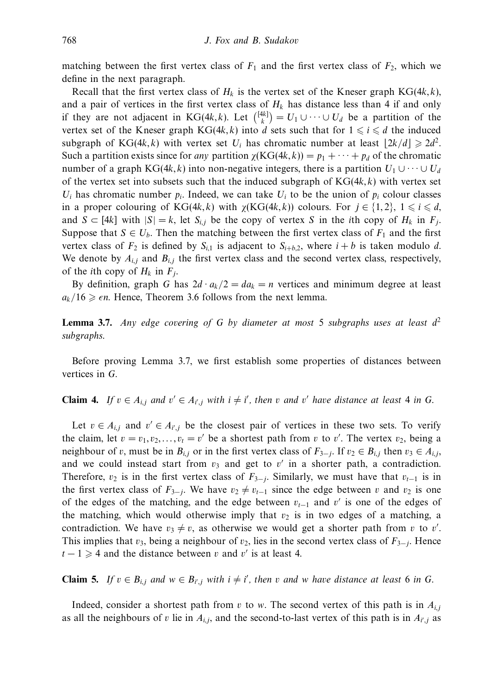matching between the first vertex class of  $F_1$  and the first vertex class of  $F_2$ , which we define in the next paragraph.

Recall that the first vertex class of  $H_k$  is the vertex set of the Kneser graph  $KG(4k, k)$ , and a pair of vertices in the first vertex class of  $H_k$  has distance less than 4 if and only if they are not adjacent in KG(4*k*, *k*). Let  $\binom{[4k]}{k} = U_1 \cup \cdots \cup U_d$  be a partition of the vertex set of the Kneser graph  $KG(4k, k)$  into *d* sets such that for  $1 \leq i \leq d$  the induced subgraph of KG(4*k, k*) with vertex set  $U_i$  has chromatic number at least  $\lfloor 2k/d \rfloor \geq 2d^2$ . Such a partition exists since for any partition  $\chi(KG(4k, k)) = p_1 + \cdots + p_d$  of the chromatic number of a graph KG(4*k, k*) into non-negative integers, there is a partition  $U_1 \cup \cdots \cup U_d$ of the vertex set into subsets such that the induced subgraph of KG(4*k, k*) with vertex set  $U_i$  has chromatic number  $p_i$ . Indeed, we can take  $U_i$  to be the union of  $p_i$  colour classes in a proper colouring of  $KG(4k, k)$  with  $\chi(KG(4k, k))$  colours. For  $j \in \{1, 2\}, 1 \leq i \leq d$ , and  $S \subset [4k]$  with  $|S| = k$ , let  $S_{i,j}$  be the copy of vertex *S* in the *i*th copy of  $H_k$  in  $F_j$ . Suppose that  $S \in U_b$ . Then the matching between the first vertex class of  $F_1$  and the first vertex class of  $F_2$  is defined by  $S_{i,j}$  is adjacent to  $S_{i+h,2}$ , where  $i + b$  is taken modulo *d*. We denote by  $A_{i,j}$  and  $B_{i,j}$  the first vertex class and the second vertex class, respectively, of the *i*th copy of  $H_k$  in  $F_j$ .

By definition, graph *G* has  $2d \cdot a_k/2 = da_k = n$  vertices and minimum degree at least  $a_k/16 \geq \epsilon n$ . Hence, Theorem 3.6 follows from the next lemma.

**Lemma 3.7.** Any edge covering of *G* by diameter at most 5 subgraphs uses at least *d*<sup>2</sup> subgraphs.

Before proving Lemma 3.7, we first establish some properties of distances between vertices in *G*.

# **Claim 4.** If  $v \in A_{i,j}$  and  $v' \in A_{i',j}$  with  $i \neq i'$ , then *v* and *v'* have distance at least 4 in *G*.

Let  $v \in A_{i,j}$  and  $v' \in A_{i',j}$  be the closest pair of vertices in these two sets. To verify the claim, let  $v = v_1, v_2, \ldots, v_t = v'$  be a shortest path from *v* to *v'*. The vertex  $v_2$ , being a neighbour of *v*, must be in  $B_{i,j}$  or in the first vertex class of  $F_{3-j}$ . If  $v_2 \in B_{i,j}$  then  $v_3 \in A_{i,j}$ , and we could instead start from  $v_3$  and get to  $v'$  in a shorter path, a contradiction. Therefore,  $v_2$  is in the first vertex class of  $F_{3-j}$ . Similarly, we must have that  $v_{t-1}$  is in the first vertex class of  $F_{3-i}$ . We have  $v_2 \neq v_{t-1}$  since the edge between *v* and  $v_2$  is one of the edges of the matching, and the edge between *vt*−<sup>1</sup> and *v* is one of the edges of the matching, which would otherwise imply that  $v_2$  is in two edges of a matching, a contradiction. We have  $v_3 \neq v$ , as otherwise we would get a shorter path from *v* to *v'*. This implies that  $v_3$ , being a neighbour of  $v_2$ , lies in the second vertex class of  $F_{3-i}$ . Hence  $t - 1 \geq 4$  and the distance between *v* and *v'* is at least 4.

**Claim 5.** If  $v \in B_{i,j}$  and  $w \in B_{i',j}$  with  $i \neq i'$ , then *v* and *w* have distance at least 6 in *G*.

Indeed, consider a shortest path from *v* to *w*. The second vertex of this path is in  $A_{i,j}$ as all the neighbours of *v* lie in  $A_{i,j}$ , and the second-to-last vertex of this path is in  $A_{i',j}$  as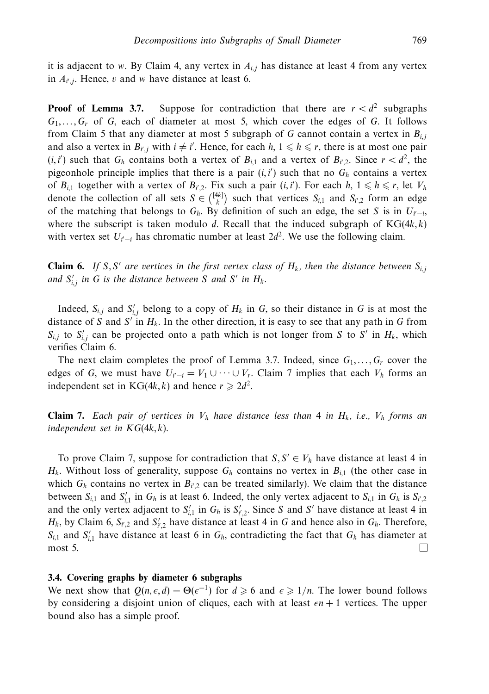it is adjacent to *w*. By Claim 4, any vertex in  $A_{i,j}$  has distance at least 4 from any vertex in  $A_{i',j}$ . Hence, *v* and *w* have distance at least 6.

**Proof of Lemma 3.7.** Suppose for contradiction that there are  $r < d^2$  subgraphs *G*1*,...,Gr* of *G*, each of diameter at most 5, which cover the edges of *G*. It follows from Claim 5 that any diameter at most 5 subgraph of *G* cannot contain a vertex in  $B_{i,j}$ and also a vertex in  $B_{i',j}$  with  $i \neq i'$ . Hence, for each  $h, 1 \leq h \leq r$ , there is at most one pair  $(i, i')$  such that  $G_h$  contains both a vertex of  $B_{i,1}$  and a vertex of  $B_{i,2}$ . Since  $r < d^2$ , the pigeonhole principle implies that there is a pair  $(i, i')$  such that no  $G_h$  contains a vertex of  $B_{i,1}$  together with a vertex of  $B_{i',2}$ . Fix such a pair  $(i, i')$ . For each  $h, 1 \leq h \leq r$ , let  $V_h$ denote the collection of all sets  $S \in \binom{[4k]}{k}$  such that vertices  $S_{i,1}$  and  $S_{i',2}$  form an edge of the matching that belongs to  $G_h$ . By definition of such an edge, the set *S* is in  $U_{i'-i}$ , where the subscript is taken modulo *d*. Recall that the induced subgraph of  $KG(4k, k)$ with vertex set  $U_{i'-i}$  has chromatic number at least  $2d^2$ . We use the following claim.

**Claim 6.** If *S, S'* are vertices in the first vertex class of  $H_k$ , then the distance between  $S_{i,j}$ and  $S'_{i,j}$  in G is the distance between S and S' in  $H_k$ .

Indeed,  $S_{i,j}$  and  $S'_{i,j}$  belong to a copy of  $H_k$  in  $G$ , so their distance in  $G$  is at most the distance of *S* and *S'* in  $H_k$ . In the other direction, it is easy to see that any path in *G* from  $S_{i,j}$  to  $S'_{i,j}$  can be projected onto a path which is not longer from *S* to *S'* in  $H_k$ , which verifies Claim 6.

The next claim completes the proof of Lemma 3.7. Indeed, since  $G_1, \ldots, G_r$  cover the edges of *G*, we must have  $U_{i'-i} = V_1 \cup \cdots \cup V_r$ . Claim 7 implies that each  $V_h$  forms an independent set in KG(4*k, k*) and hence  $r \ge 2d^2$ .

**Claim 7.** Each pair of vertices in  $V_h$  have distance less than 4 in  $H_k$ , i.e.,  $V_h$  forms an independent set in KG(4*k, k*).

To prove Claim 7, suppose for contradiction that  $S, S' \in V_h$  have distance at least 4 in  $H_k$ . Without loss of generality, suppose  $G_h$  contains no vertex in  $B_{i,1}$  (the other case in which  $G_h$  contains no vertex in  $B_{i',2}$  can be treated similarly). We claim that the distance between  $S_{i,1}$  and  $S'_{i,1}$  in  $G_h$  is at least 6. Indeed, the only vertex adjacent to  $S_{i,1}$  in  $G_h$  is  $S_{i',2}$ and the only vertex adjacent to  $S'_{i,1}$  in  $G_h$  is  $S'_{i',2}$ . Since *S* and *S'* have distance at least 4 in *H<sub>k</sub>*, by Claim 6,  $S_{i',2}$  and  $S'_{i',2}$  have distance at least 4 in *G* and hence also in  $G_h$ . Therefore,  $S_{i,1}$  and  $S'_{i,1}$  have distance at least 6 in  $G_h$ , contradicting the fact that  $G_h$  has diameter at most 5.  $\Box$ 

# **3.4. Covering graphs by diameter 6 subgraphs**

We next show that  $Q(n, \epsilon, d) = \Theta(\epsilon^{-1})$  for  $d \ge 6$  and  $\epsilon \ge 1/n$ . The lower bound follows by considering a disjoint union of cliques, each with at least  $\epsilon n + 1$  vertices. The upper bound also has a simple proof.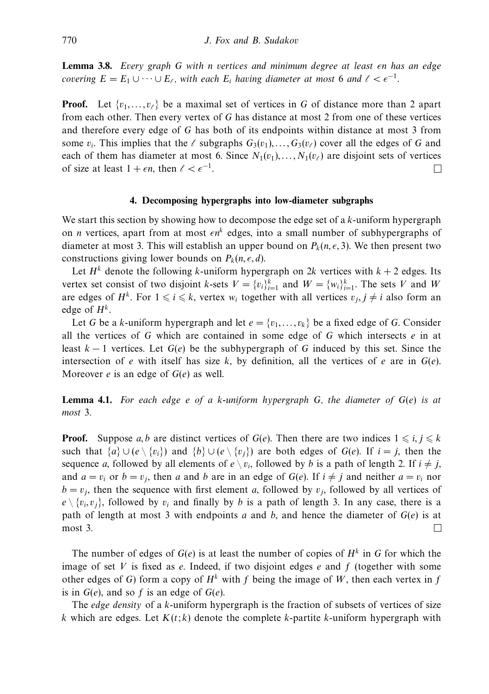**Lemma 3.8.** Every graph *G* with *n* vertices and minimum degree at least *-n* has an edge covering  $E = E_1 \cup \cdots \cup E_{\ell}$ , with each  $E_i$  having diameter at most 6 and  $\ell < \epsilon^{-1}$ .

**Proof.** Let  $\{v_1, \ldots, v_\ell\}$  be a maximal set of vertices in G of distance more than 2 apart from each other. Then every vertex of *G* has distance at most 2 from one of these vertices and therefore every edge of *G* has both of its endpoints within distance at most 3 from some  $v_i$ . This implies that the  $\ell$  subgraphs  $G_3(v_1),...,G_3(v_\ell)$  cover all the edges of *G* and each of them has diameter at most 6. Since  $N_1(v_1),...,N_1(v_\ell)$  are disjoint sets of vertices of size at least  $1 + \epsilon n$ , then  $\ell < \epsilon^{-1}$ .  $\Box$ 

#### **4. Decomposing hypergraphs into low-diameter subgraphs**

We start this section by showing how to decompose the edge set of a *k*-uniform hypergraph on *n* vertices, apart from at most  $\epsilon n^k$  edges, into a small number of subhypergraphs of diameter at most 3. This will establish an upper bound on  $P_k(n, \epsilon, 3)$ . We then present two constructions giving lower bounds on  $P_k(n, \epsilon, d)$ .

Let  $H^k$  denote the following *k*-uniform hypergraph on 2*k* vertices with  $k + 2$  edges. Its vertex set consist of two disjoint *k*-sets  $V = \{v_i\}_{i=1}^k$  and  $W = \{w_i\}_{i=1}^k$ . The sets *V* and *W* are edges of  $H^k$ . For  $1 \leq i \leq k$ , vertex  $w_i$  together with all vertices  $v_j, j \neq i$  also form an edge of  $H^k$ .

Let *G* be a *k*-uniform hypergraph and let  $e = \{v_1, \ldots, v_k\}$  be a fixed edge of *G*. Consider all the vertices of *G* which are contained in some edge of *G* which intersects *e* in at least *k* − 1 vertices. Let *G*(*e*) be the subhypergraph of *G* induced by this set. Since the intersection of *e* with itself has size *k*, by definition, all the vertices of *e* are in *G*(*e*). Moreover *e* is an edge of *G*(*e*) as well.

**Lemma 4.1.** For each edge *e* of a *k*-uniform hypergraph *G*, the diameter of *G*(*e*) is at most 3.

**Proof.** Suppose *a*, *b* are distinct vertices of *G*(*e*). Then there are two indices  $1 \le i, j \le k$ such that  ${a} \cup (e \setminus {v_i})$  and  ${b} \cup (e \setminus {v_i})$  are both edges of  $G(e)$ . If  $i = j$ , then the sequence *a*, followed by all elements of  $e \setminus v_i$ , followed by *b* is a path of length 2. If  $i \neq j$ , and  $a = v_i$  or  $b = v_j$ , then *a* and *b* are in an edge of  $G(e)$ . If  $i \neq j$  and neither  $a = v_i$  nor  $b = v_j$ , then the sequence with first element *a*, followed by  $v_j$ , followed by all vertices of  $e \setminus \{v_i, v_j\}$ , followed by  $v_i$  and finally by *b* is a path of length 3. In any case, there is a path of length at most 3 with endpoints *a* and *b*, and hence the diameter of *G*(*e*) is at most 3.  $\Box$ 

The number of edges of  $G(e)$  is at least the number of copies of  $H<sup>k</sup>$  in G for which the image of set *V* is fixed as *e*. Indeed, if two disjoint edges *e* and *f* (together with some other edges of *G*) form a copy of  $H^k$  with *f* being the image of *W*, then each vertex in *f* is in  $G(e)$ , and so  $f$  is an edge of  $G(e)$ .

The edge density of a *k*-uniform hypergraph is the fraction of subsets of vertices of size  $k$  which are edges. Let  $K(t; k)$  denote the complete  $k$ -partite  $k$ -uniform hypergraph with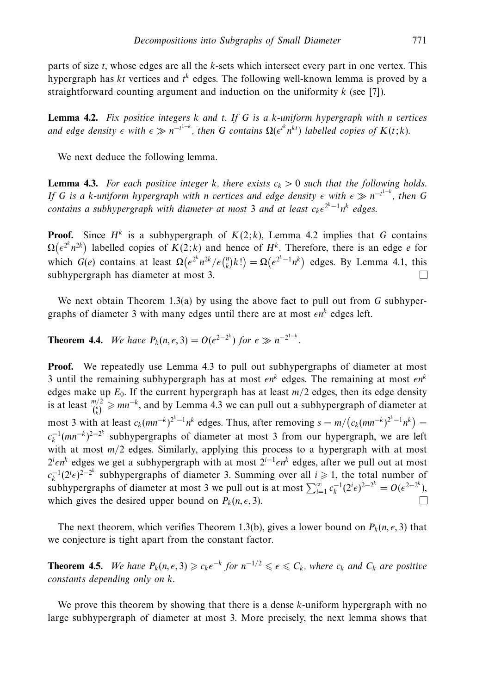parts of size *t*, whose edges are all the *k*-sets which intersect every part in one vertex. This hypergraph has *kt* vertices and *t <sup>k</sup>* edges. The following well-known lemma is proved by a straightforward counting argument and induction on the uniformity *k* (see [7]).

**Lemma 4.2.** Fix positive integers *k* and *t*. If *G* is a *k*-uniform hypergraph with *n* vertices and edge density  $\epsilon$  with  $\epsilon \gg n^{-t^{1-k}}$ , then G contains  $\Omega(\epsilon^{t^k} n^{kt})$  labelled copies of  $K(t;k)$ .

We next deduce the following lemma.

**Lemma 4.3.** For each positive integer *k*, there exists  $c_k > 0$  such that the following holds. If *G* is a *k*-uniform hypergraph with *n* vertices and edge density  $\epsilon$  with  $\epsilon \gg n^{-t^{1-k}}$ , then *G* contains a subhypergraph with diameter at most 3 and at least *ck-*<sup>2</sup>*k*−<sup>1</sup>*nk* edges.

**Proof.** Since  $H^k$  is a subhypergraph of  $K(2; k)$ , Lemma 4.2 implies that *G* contains  $\Omega(e^{2^k} n^{2k})$  labelled copies of  $K(2; k)$  and hence of  $H^k$ . Therefore, there is an edge *e* for which  $G(e)$  contains at least  $\Omega(e^{2^k}n^{2k}/\epsilon{n\choose k}k!) = \Omega(e^{2^k-1}n^k)$  edges. By Lemma 4.1, this subhypergraph has diameter at most 3.  $\Box$ 

We next obtain Theorem 1.3(a) by using the above fact to pull out from *G* subhypergraphs of diameter 3 with many edges until there are at most  $\epsilon n^k$  edges left.

**Theorem 4.4.** We have  $P_k(n, \epsilon, 3) = O(\epsilon^{2-2^k})$  for  $\epsilon \gg n^{-2^{1-k}}$ .

**Proof.** We repeatedly use Lemma 4.3 to pull out subhypergraphs of diameter at most 3 until the remaining subhypergraph has at most  $\epsilon n^k$  edges. The remaining at most  $\epsilon n^k$ edges make up  $E_0$ . If the current hypergraph has at least  $m/2$  edges, then its edge density is at least  $\frac{m/2}{\binom{n}{k}} \geqslant mn^{-k}$ , and by Lemma 4.3 we can pull out a subhypergraph of diameter at most 3 with at least  $c_k(mn^{-k})^{2^k-1}n^k$  edges. Thus, after removing  $s = m/(c_k(mn^{-k})^{2^k-1}n^k)$  $c_k^{-1}(mn^{-k})^{2-2^k}$  subhypergraphs of diameter at most 3 from our hypergraph, we are left with at most  $m/2$  edges. Similarly, applying this process to a hypergraph with at most 2*i -nk* edges we get a subhypergraph with at most 2*<sup>i</sup>*−<sup>1</sup>*-nk* edges, after we pull out at most  $c_k^{-1}(2^i \epsilon)^{2-2^k}$  subhypergraphs of diameter 3. Summing over all  $i \ge 1$ , the total number of subhypergraphs of diameter at most 3 we pull out is at most  $\sum_{i=1}^{\infty} c_k^{-1} (2^i \epsilon)^{2-2^k} = O(\epsilon^{2-2^k})$ ,  $\Box$ which gives the desired upper bound on  $P_k(n, \epsilon, 3)$ .

The next theorem, which verifies Theorem 1.3(b), gives a lower bound on  $P_k(n, \epsilon, 3)$  that we conjecture is tight apart from the constant factor.

**Theorem 4.5.** We have  $P_k(n, \epsilon, 3) \geqslant c_k \epsilon^{-k}$  for  $n^{-1/2} \leqslant \epsilon \leqslant C_k$ , where  $c_k$  and  $C_k$  are positive constants depending only on *k*.

We prove this theorem by showing that there is a dense *k*-uniform hypergraph with no large subhypergraph of diameter at most 3. More precisely, the next lemma shows that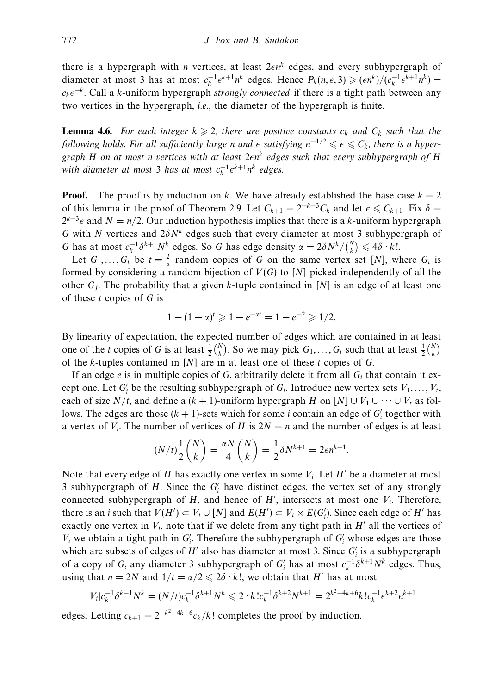there is a hypergraph with *n* vertices, at least 2*-nk* edges, and every subhypergraph of diameter at most 3 has at most  $c_k^{-1} \epsilon^{k+1} n^k$  edges. Hence  $P_k(n, \epsilon, 3) \geqslant (\epsilon n^k) / (c_k^{-1} \epsilon^{k+1} n^k)$ *ck-*<sup>−</sup>*k*. Call a *k*-uniform hypergraph strongly connected if there is a tight path between any two vertices in the hypergraph, i.e., the diameter of the hypergraph is finite.

**Lemma 4.6.** For each integer  $k \ge 2$ , there are positive constants  $c_k$  and  $C_k$  such that the *following holds. For all sufficiently large <i>n* and  $\epsilon$  satisfying  $n^{-1/2} \leqslant \epsilon \leqslant C_k$ , there is a hypergraph *H* on at most *n* vertices with at least 2*-nk* edges such that every subhypergraph of *H* with diameter at most 3 has at most  $c_k^{-1} \epsilon^{k+1} n^k$  edges.

**Proof.** The proof is by induction on *k*. We have already established the base case  $k = 2$ of this lemma in the proof of Theorem 2.9. Let  $C_{k+1} = 2^{-k-3}C_k$  and let  $\epsilon \le C_{k+1}$ . Fix  $\delta =$  $2^{k+3}\epsilon$  and  $N = n/2$ . Our induction hypothesis implies that there is a *k*-uniform hypergraph *G* with *N* vertices and 2*δN<sup>k</sup>* edges such that every diameter at most 3 subhypergraph of *G* has at most  $c_k^{-1} \delta^{k+1} N^k$  edges. So *G* has edge density  $\alpha = 2 \delta N^k / {N \choose k} \leq 4 \delta \cdot k!$ .

Let  $G_1, \ldots, G_t$  be  $t = \frac{2}{\alpha}$  random copies of *G* on the same vertex set [*N*], where  $G_i$  is formed by considering a random bijection of *V*(*G*) to [*N*] picked independently of all the other  $G_i$ . The probability that a given *k*-tuple contained in [N] is an edge of at least one of these *t* copies of *G* is

$$
1 - (1 - \alpha)^t \geq 1 - e^{-\alpha t} = 1 - e^{-2} \geq 1/2.
$$

By linearity of expectation, the expected number of edges which are contained in at least one of the *t* copies of *G* is at least  $\frac{1}{2} {N \choose k}$ . So we may pick  $G_1, \ldots, G_t$  such that at least  $\frac{1}{2} {N \choose k}$ of the *k*-tuples contained in [*N*] are in at least one of these *t* copies of *G*.

If an edge  $e$  is in multiple copies of  $G$ , arbitrarily delete it from all  $G_i$  that contain it except one. Let  $G_i'$  be the resulting subhypergraph of  $G_i$ . Introduce new vertex sets  $V_1, \ldots, V_t$ , each of size *N/t*, and define a  $(k + 1)$ -uniform hypergraph *H* on  $[N] \cup V_1 \cup \cdots \cup V_t$  as follows. The edges are those  $(k + 1)$ -sets which for some *i* contain an edge of  $G_i$  together with a vertex of  $V_i$ . The number of vertices of *H* is  $2N = n$  and the number of edges is at least

$$
(N/t)\frac{1}{2}\binom{N}{k} = \frac{\alpha N}{4}\binom{N}{k} = \frac{1}{2}\delta N^{k+1} = 2\epsilon n^{k+1}.
$$

Note that every edge of  $H$  has exactly one vertex in some  $V_i$ . Let  $H'$  be a diameter at most 3 subhypergraph of *H*. Since the *G <sup>i</sup>* have distinct edges, the vertex set of any strongly connected subhypergraph of  $H$ , and hence of  $H'$ , intersects at most one  $V_i$ . Therefore, there is an *i* such that  $V(H') \subset V_i \cup [N]$  and  $E(H') \subset V_i \times E(G'_i)$ . Since each edge of *H'* has exactly one vertex in  $V_i$ , note that if we delete from any tight path in  $H'$  all the vertices of  $V_i$  we obtain a tight path in  $G_i'$ . Therefore the subhypergraph of  $G_i'$  whose edges are those which are subsets of edges of  $H'$  also has diameter at most 3. Since  $G'_i$  is a subhypergraph of a copy of *G*, any diameter 3 subhypergraph of  $G_i'$  has at most  $c_k^{-1} \delta^{k+1} N^k$  edges. Thus, using that  $n = 2N$  and  $1/t = \alpha/2 \leq 2\delta \cdot k!$ , we obtain that *H'* has at most

$$
|V_i|c_k^{-1}\delta^{k+1}N^k = (N/t)c_k^{-1}\delta^{k+1}N^k \leq 2 \cdot k!c_k^{-1}\delta^{k+2}N^{k+1} = 2^{k^2+4k+6}k!c_k^{-1}\epsilon^{k+2}n^{k+1}
$$

edges. Letting  $c_{k+1} = 2^{-k^2-4k-6}c_k/k!$  completes the proof by induction.

 $\Box$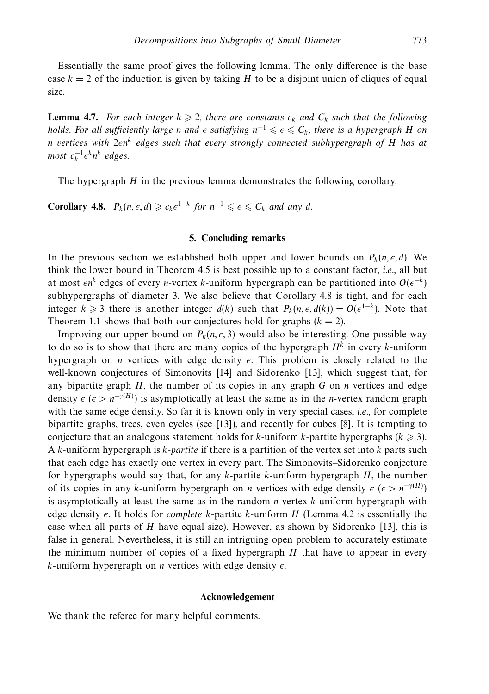Essentially the same proof gives the following lemma. The only difference is the base case  $k = 2$  of the induction is given by taking *H* to be a disjoint union of cliques of equal size.

**Lemma 4.7.** For each integer  $k \ge 2$ , there are constants  $c_k$  and  $C_k$  such that the following holds. For all sufficiently large *n* and  $\epsilon$  satisfying  $n^{-1} \leqslant \epsilon \leqslant C_k$ , there is a hypergraph *H* on *n* vertices with 2*-nk* edges such that every strongly connected subhypergraph of *H* has at  $most \ c_k^{-1} \epsilon^k n^k \ edges.$ 

The hypergraph *H* in the previous lemma demonstrates the following corollary.

**Corollary 4.8.**  $P_k(n, \epsilon, d) \geq c_k \epsilon^{1-k}$  for  $n^{-1} \leq \epsilon \leq C_k$  and any *d*.

#### **5. Concluding remarks**

In the previous section we established both upper and lower bounds on  $P_k(n, \epsilon, d)$ . We think the lower bound in Theorem 4.5 is best possible up to a constant factor, *i.e.*, all but at most  $\epsilon n^k$  edges of every *n*-vertex *k*-uniform hypergraph can be partitioned into  $O(\epsilon^{-k})$ subhypergraphs of diameter 3. We also believe that Corollary 4.8 is tight, and for each integer  $k \ge 3$  there is another integer  $d(k)$  such that  $P_k(n, \epsilon, d(k)) = O(\epsilon^{1-k})$ . Note that Theorem 1.1 shows that both our conjectures hold for graphs  $(k = 2)$ .

Improving our upper bound on  $P_k(n, \epsilon, 3)$  would also be interesting. One possible way to do so is to show that there are many copies of the hypergraph  $H<sup>k</sup>$  in every  $k$ -uniform hypergraph on *n* vertices with edge density  $\epsilon$ . This problem is closely related to the well-known conjectures of Simonovits [14] and Sidorenko [13], which suggest that, for any bipartite graph *H*, the number of its copies in any graph *G* on *n* vertices and edge density  $\epsilon$  ( $\epsilon > n^{-\gamma(H)}$ ) is asymptotically at least the same as in the *n*-vertex random graph with the same edge density. So far it is known only in very special cases, *i.e.*, for complete bipartite graphs, trees, even cycles (see [13]), and recently for cubes [8]. It is tempting to conjecture that an analogous statement holds for *k*-uniform *k*-partite hypergraphs ( $k \geq 3$ ). A *k*-uniform hypergraph is *k*-partite if there is a partition of the vertex set into *k* parts such that each edge has exactly one vertex in every part. The Simonovits–Sidorenko conjecture for hypergraphs would say that, for any *k*-partite *k*-uniform hypergraph *H*, the number of its copies in any *k*-uniform hypergraph on *n* vertices with edge density  $\epsilon$  ( $\epsilon > n^{-\gamma(H)}$ ) is asymptotically at least the same as in the random *n*-vertex *k*-uniform hypergraph with edge density  $\epsilon$ . It holds for *complete k*-partite *k*-uniform *H* (Lemma 4.2 is essentially the case when all parts of *H* have equal size). However, as shown by Sidorenko [13], this is false in general. Nevertheless, it is still an intriguing open problem to accurately estimate the minimum number of copies of a fixed hypergraph *H* that have to appear in every  $k$ -uniform hypergraph on *n* vertices with edge density  $\epsilon$ .

# **Acknowledgement**

We thank the referee for many helpful comments.